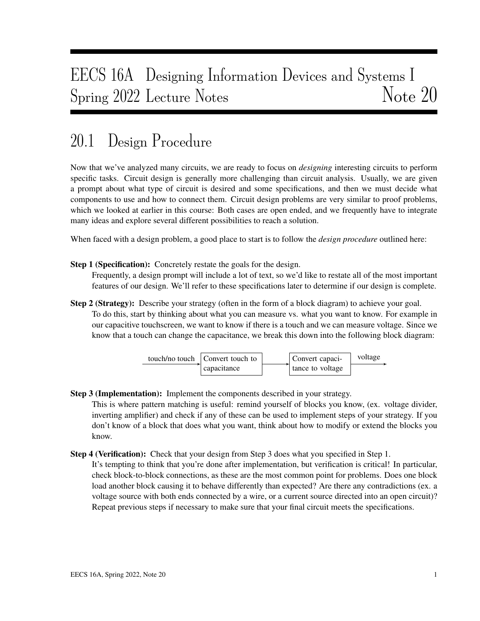# EECS 16A Designing Information Devices and Systems I Spring 2022 Lecture Notes Note 20

### 20.1 Design Procedure

Now that we've analyzed many circuits, we are ready to focus on *designing* interesting circuits to perform specific tasks. Circuit design is generally more challenging than circuit analysis. Usually, we are given a prompt about what type of circuit is desired and some specifications, and then we must decide what components to use and how to connect them. Circuit design problems are very similar to proof problems, which we looked at earlier in this course: Both cases are open ended, and we frequently have to integrate many ideas and explore several different possibilities to reach a solution.

When faced with a design problem, a good place to start is to follow the *design procedure* outlined here:

Step 1 (Specification): Concretely restate the goals for the design.

Frequently, a design prompt will include a lot of text, so we'd like to restate all of the most important features of our design. We'll refer to these specifications later to determine if our design is complete.

Step 2 (Strategy): Describe your strategy (often in the form of a block diagram) to achieve your goal. To do this, start by thinking about what you can measure vs. what you want to know. For example in our capacitive touchscreen, we want to know if there is a touch and we can measure voltage. Since we know that a touch can change the capacitance, we break this down into the following block diagram:



Step 3 (Implementation): Implement the components described in your strategy.

This is where pattern matching is useful: remind yourself of blocks you know, (ex. voltage divider, inverting amplifier) and check if any of these can be used to implement steps of your strategy. If you don't know of a block that does what you want, think about how to modify or extend the blocks you know.

- Step 4 (Verification): Check that your design from Step 3 does what you specified in Step 1.
	- It's tempting to think that you're done after implementation, but verification is critical! In particular, check block-to-block connections, as these are the most common point for problems. Does one block load another block causing it to behave differently than expected? Are there any contradictions (ex. a voltage source with both ends connected by a wire, or a current source directed into an open circuit)? Repeat previous steps if necessary to make sure that your final circuit meets the specifications.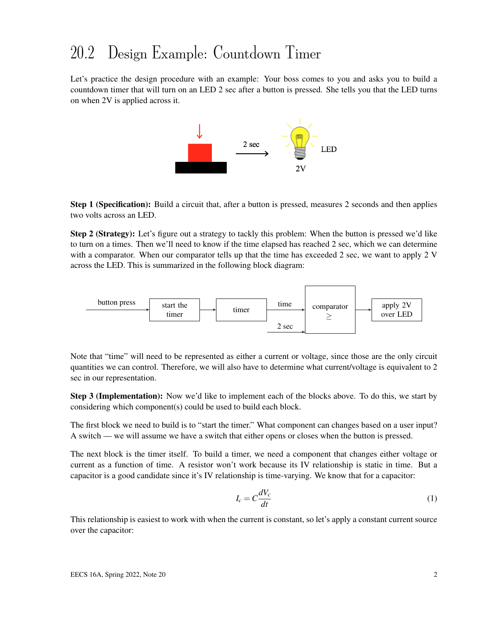### 20.2 Design Example: Countdown Timer

Let's practice the design procedure with an example: Your boss comes to you and asks you to build a countdown timer that will turn on an LED 2 sec after a button is pressed. She tells you that the LED turns on when 2V is applied across it.



**Step 1 (Specification):** Build a circuit that, after a button is pressed, measures 2 seconds and then applies two volts across an LED.

Step 2 (Strategy): Let's figure out a strategy to tackly this problem: When the button is pressed we'd like to turn on a times. Then we'll need to know if the time elapsed has reached 2 sec, which we can determine with a comparator. When our comparator tells up that the time has exceeded 2 sec, we want to apply 2 V across the LED. This is summarized in the following block diagram:



Note that "time" will need to be represented as either a current or voltage, since those are the only circuit quantities we can control. Therefore, we will also have to determine what current/voltage is equivalent to 2 sec in our representation.

Step 3 (Implementation): Now we'd like to implement each of the blocks above. To do this, we start by considering which component(s) could be used to build each block.

The first block we need to build is to "start the timer." What component can changes based on a user input? A switch — we will assume we have a switch that either opens or closes when the button is pressed.

The next block is the timer itself. To build a timer, we need a component that changes either voltage or current as a function of time. A resistor won't work because its IV relationship is static in time. But a capacitor is a good candidate since it's IV relationship is time-varying. We know that for a capacitor:

$$
I_c = C \frac{dV_c}{dt} \tag{1}
$$

This relationship is easiest to work with when the current is constant, so let's apply a constant current source over the capacitor: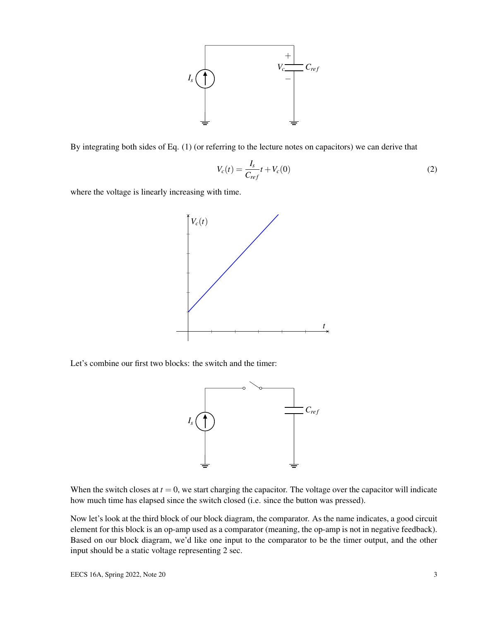

By integrating both sides of Eq. (1) (or referring to the lecture notes on capacitors) we can derive that

$$
V_c(t) = \frac{I_s}{C_{ref}}t + V_c(0)
$$
\n
$$
\tag{2}
$$

where the voltage is linearly increasing with time.



Let's combine our first two blocks: the switch and the timer:



When the switch closes at  $t = 0$ , we start charging the capacitor. The voltage over the capacitor will indicate how much time has elapsed since the switch closed (i.e. since the button was pressed).

Now let's look at the third block of our block diagram, the comparator. As the name indicates, a good circuit element for this block is an op-amp used as a comparator (meaning, the op-amp is not in negative feedback). Based on our block diagram, we'd like one input to the comparator to be the timer output, and the other input should be a static voltage representing 2 sec.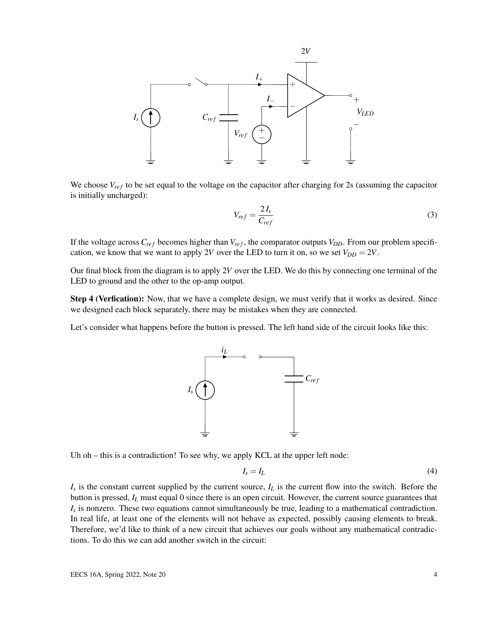

We choose  $V_{ref}$  to be set equal to the voltage on the capacitor after charging for 2s (assuming the capacitor is initially uncharged):

$$
V_{ref} = \frac{2I_s}{C_{ref}}\tag{3}
$$

If the voltage across  $C_{ref}$  becomes higher than  $V_{ref}$ , the comparator outputs  $V_{DD}$ . From our problem specification, we know that we want to apply 2*V* over the LED to turn it on, so we set  $V_{DD} = 2V$ .

Our final block from the diagram is to apply 2*V* over the LED. We do this by connecting one terminal of the LED to ground and the other to the op-amp output.

Step 4 (Verfication): Now, that we have a complete design, we must verify that it works as desired. Since we designed each block separately, there may be mistakes when they are connected.

Let's consider what happens before the button is pressed. The left hand side of the circuit looks like this:



Uh oh – this is a contradiction! To see why, we apply KCL at the upper left node:

$$
I_s = I_L \tag{4}
$$

*Is* is the constant current supplied by the current source, *I<sup>L</sup>* is the current flow into the switch. Before the button is pressed, *I<sup>L</sup>* must equal 0 since there is an open circuit. However, the current source guarantees that *Is* is nonzero. These two equations cannot simultaneously be true, leading to a mathematical contradiction. In real life, at least one of the elements will not behave as expected, possibly causing elements to break. Therefore, we'd like to think of a new circuit that achieves our goals without any mathematical contradictions. To do this we can add another switch in the circuit: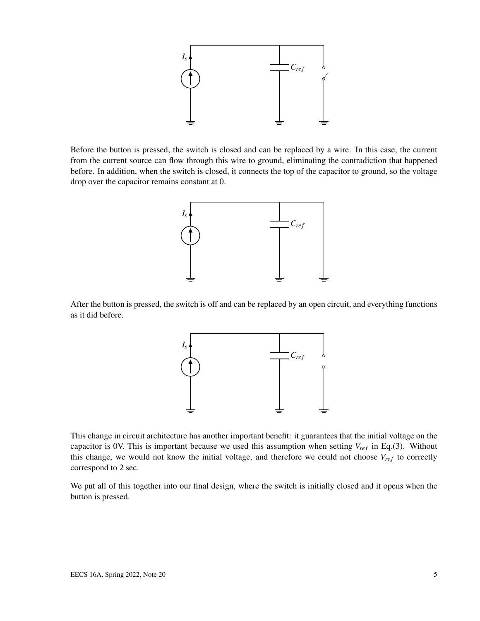

Before the button is pressed, the switch is closed and can be replaced by a wire. In this case, the current from the current source can flow through this wire to ground, eliminating the contradiction that happened before. In addition, when the switch is closed, it connects the top of the capacitor to ground, so the voltage drop over the capacitor remains constant at 0.



After the button is pressed, the switch is off and can be replaced by an open circuit, and everything functions as it did before.



This change in circuit architecture has another important benefit: it guarantees that the initial voltage on the capacitor is 0V. This is important because we used this assumption when setting  $V_{ref}$  in Eq.(3). Without this change, we would not know the initial voltage, and therefore we could not choose  $V_{ref}$  to correctly correspond to 2 sec.

We put all of this together into our final design, where the switch is initially closed and it opens when the button is pressed.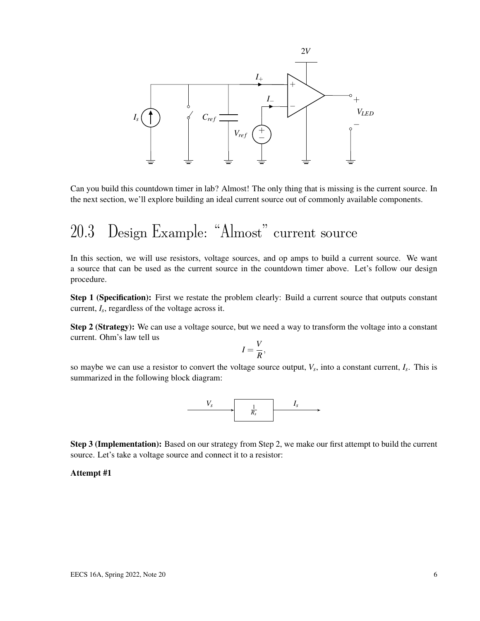

Can you build this countdown timer in lab? Almost! The only thing that is missing is the current source. In the next section, we'll explore building an ideal current source out of commonly available components.

## 20.3 Design Example: "Almost" current source

In this section, we will use resistors, voltage sources, and op amps to build a current source. We want a source that can be used as the current source in the countdown timer above. Let's follow our design procedure.

Step 1 (Specification): First we restate the problem clearly: Build a current source that outputs constant current, *I<sup>s</sup>* , regardless of the voltage across it.

Step 2 (Strategy): We can use a voltage source, but we need a way to transform the voltage into a constant current. Ohm's law tell us

$$
I=\frac{V}{R},
$$

so maybe we can use a resistor to convert the voltage source output, *V<sup>s</sup>* , into a constant current, *I<sup>s</sup>* . This is summarized in the following block diagram:



Step 3 (Implementation): Based on our strategy from Step 2, we make our first attempt to build the current source. Let's take a voltage source and connect it to a resistor:

#### Attempt #1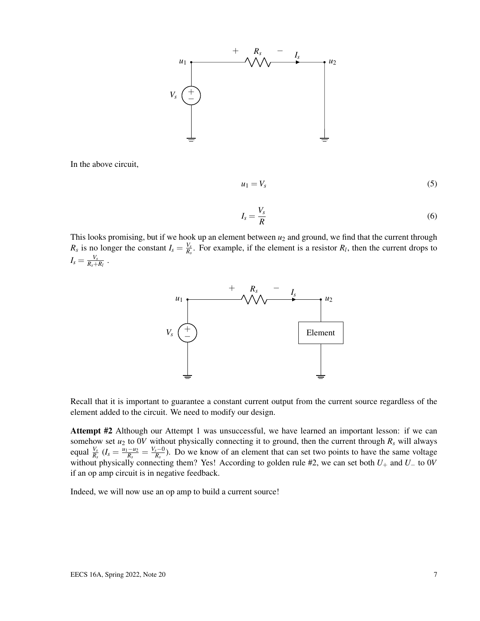

In the above circuit,

$$
u_1 = V_s \tag{5}
$$

$$
I_s = \frac{V_s}{R} \tag{6}
$$

This looks promising, but if we hook up an element between  $u_2$  and ground, we find that the current through  $R_s$  is no longer the constant  $I_s = \frac{V_s}{R_s}$  $\frac{V_s}{R_s}$ . For example, if the element is a resistor  $R_l$ , then the current drops to  $I_s = \frac{V_s}{R_s +}$  $\frac{V_s}{R_s+R_l}$  .



Recall that it is important to guarantee a constant current output from the current source regardless of the element added to the circuit. We need to modify our design.

Attempt #2 Although our Attempt 1 was unsuccessful, we have learned an important lesson: if we can somehow set  $u_2$  to 0*V* without physically connecting it to ground, then the current through  $R_s$  will always equal  $\frac{V_s}{R_s}$  ( $I_s = \frac{u_1 - u_2}{R_s}$  $\frac{-u_2}{R_s} = \frac{V_s - 0}{R_s}$  $\frac{s-0}{R_s}$ ). Do we know of an element that can set two points to have the same voltage without physically connecting them? Yes! According to golden rule #2, we can set both *U*<sup>+</sup> and *U*<sup>−</sup> to 0*V* if an op amp circuit is in negative feedback.

Indeed, we will now use an op amp to build a current source!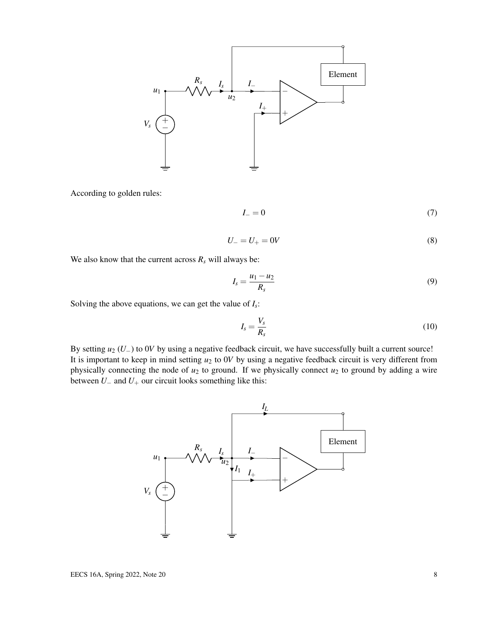

According to golden rules:

$$
I_{-}=0\tag{7}
$$

$$
U_- = U_+ = 0V \tag{8}
$$

We also know that the current across  $R_s$  will always be:

$$
I_s = \frac{u_1 - u_2}{R_s} \tag{9}
$$

Solving the above equations, we can get the value of *I<sup>s</sup>* :

$$
I_s = \frac{V_s}{R_s} \tag{10}
$$

By setting *u*<sup>2</sup> (*U*−) to 0*V* by using a negative feedback circuit, we have successfully built a current source! It is important to keep in mind setting  $u_2$  to 0*V* by using a negative feedback circuit is very different from physically connecting the node of  $u_2$  to ground. If we physically connect  $u_2$  to ground by adding a wire between  $U_-\$  and  $U_+$  our circuit looks something like this:

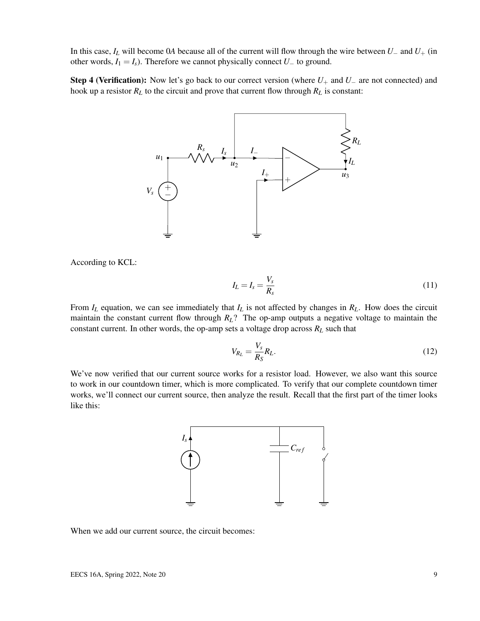In this case, *I<sup>L</sup>* will become 0*A* because all of the current will flow through the wire between *U*<sup>−</sup> and *U*<sup>+</sup> (in other words,  $I_1 = I_s$ ). Therefore we cannot physically connect  $U_-\$  to ground.

Step 4 (Verification): Now let's go back to our correct version (where *U*<sup>+</sup> and *U*<sup>−</sup> are not connected) and hook up a resistor  $R_L$  to the circuit and prove that current flow through  $R_L$  is constant:



According to KCL:

$$
I_L = I_s = \frac{V_s}{R_s} \tag{11}
$$

From *I<sup>L</sup>* equation, we can see immediately that *I<sup>L</sup>* is not affected by changes in *RL*. How does the circuit maintain the constant current flow through *RL*? The op-amp outputs a negative voltage to maintain the constant current. In other words, the op-amp sets a voltage drop across  $R_L$  such that

$$
V_{R_L} = \frac{V_s}{R_S} R_L. \tag{12}
$$

We've now verified that our current source works for a resistor load. However, we also want this source to work in our countdown timer, which is more complicated. To verify that our complete countdown timer works, we'll connect our current source, then analyze the result. Recall that the first part of the timer looks like this:



When we add our current source, the circuit becomes: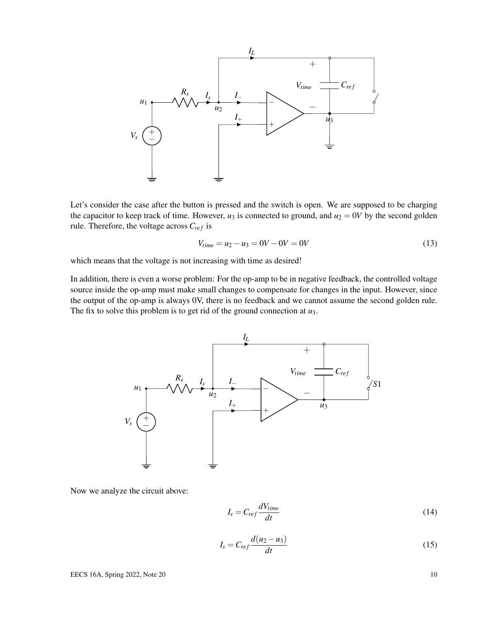

Let's consider the case after the button is pressed and the switch is open. We are supposed to be charging the capacitor to keep track of time. However,  $u_3$  is connected to ground, and  $u_2 = 0V$  by the second golden rule. Therefore, the voltage across  $C_{ref}$  is

$$
V_{time} = u_2 - u_3 = 0V - 0V = 0V \tag{13}
$$

which means that the voltage is not increasing with time as desired!

In addition, there is even a worse problem: For the op-amp to be in negative feedback, the controlled voltage source inside the op-amp must make small changes to compensate for changes in the input. However, since the output of the op-amp is always 0V, there is no feedback and we cannot assume the second golden rule. The fix to solve this problem is to get rid of the ground connection at *u*3.



Now we analyze the circuit above:

$$
I_s = C_{ref} \frac{dV_{time}}{dt}
$$
 (14)

$$
I_s = C_{ref} \frac{d(u_2 - u_3)}{dt}
$$
\n<sup>(15)</sup>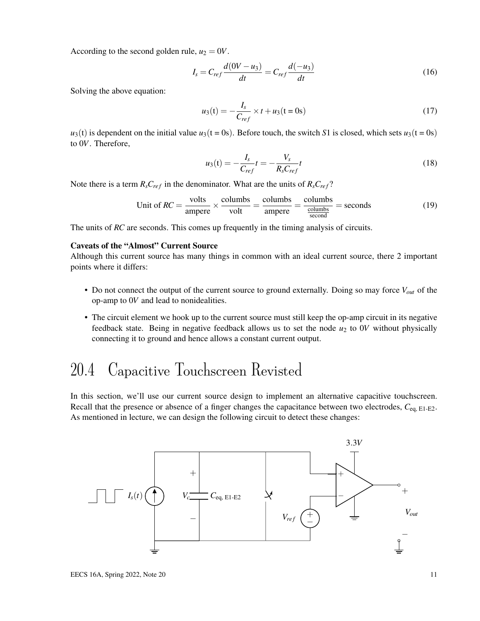According to the second golden rule,  $u_2 = 0V$ .

$$
I_s = C_{ref} \frac{d(0V - u_3)}{dt} = C_{ref} \frac{d(-u_3)}{dt}
$$
 (16)

Solving the above equation:

$$
u_3(t) = -\frac{I_s}{C_{ref}} \times t + u_3(t = 0s)
$$
 (17)

 $u_3(t)$  is dependent on the initial value  $u_3(t = 0s)$ . Before touch, the switch *S*1 is closed, which sets  $u_3(t = 0s)$ to 0*V*. Therefore,

$$
u_3(t) = -\frac{I_s}{C_{ref}}t = -\frac{V_s}{R_s C_{ref}}t
$$
\n(18)

Note there is a term  $R_sC_{ref}$  in the denominator. What are the units of  $R_sC_{ref}$ ?

Unit of 
$$
RC = \frac{\text{volts}}{\text{ampere}} \times \frac{\text{columns}}{\text{volt}} = \frac{\text{columns}}{\text{ampere}} = \frac{\text{columns}}{\frac{\text{columns}}{\text{second}}} = \text{seconds}
$$
 (19)

The units of *RC* are seconds. This comes up frequently in the timing analysis of circuits.

#### Caveats of the "Almost" Current Source

Although this current source has many things in common with an ideal current source, there 2 important points where it differs:

- Do not connect the output of the current source to ground externally. Doing so may force *Vout* of the op-amp to 0*V* and lead to nonidealities.
- The circuit element we hook up to the current source must still keep the op-amp circuit in its negative feedback state. Being in negative feedback allows us to set the node *u*<sup>2</sup> to 0*V* without physically connecting it to ground and hence allows a constant current output.

#### 20.4 Capacitive Touchscreen Revisted

In this section, we'll use our current source design to implement an alternative capacitive touchscreen. Recall that the presence or absence of a finger changes the capacitance between two electrodes, *C*eq, E1-E2. As mentioned in lecture, we can design the following circuit to detect these changes:

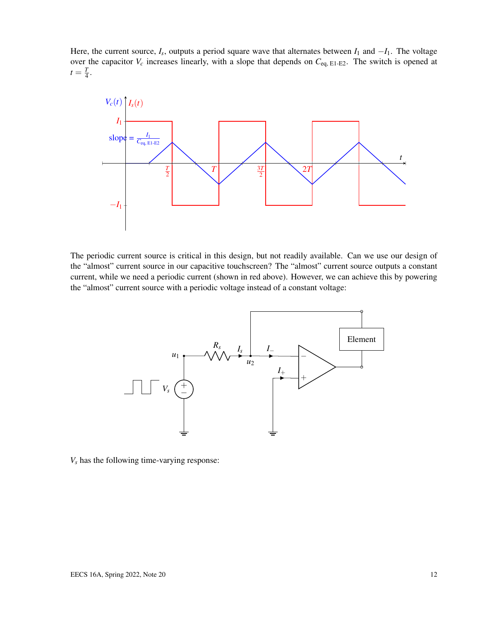Here, the current source,  $I_s$ , outputs a period square wave that alternates between  $I_1$  and  $-I_1$ . The voltage over the capacitor  $V_c$  increases linearly, with a slope that depends on  $C_{eq, E1-E2}$ . The switch is opened at  $t=\frac{T}{4}$  $\frac{1}{4}$ .



The periodic current source is critical in this design, but not readily available. Can we use our design of the "almost" current source in our capacitive touchscreen? The "almost" current source outputs a constant current, while we need a periodic current (shown in red above). However, we can achieve this by powering the "almost" current source with a periodic voltage instead of a constant voltage:



*V<sup>s</sup>* has the following time-varying response: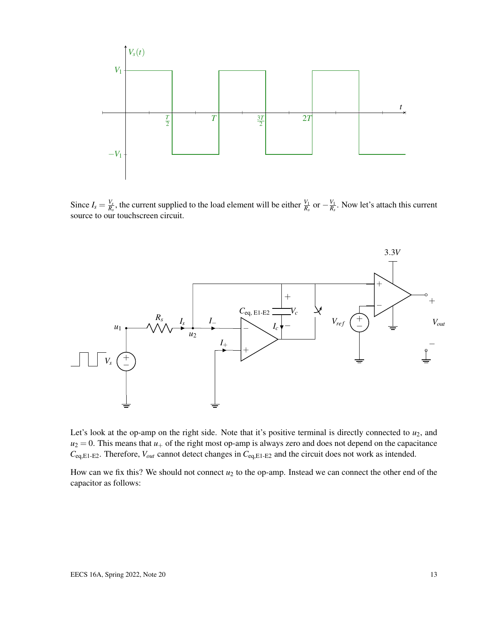

Since  $I_s = \frac{V_s}{R_s}$  $\frac{V_s}{R_s}$ , the current supplied to the load element will be either  $\frac{V_1}{R_s}$  or  $-\frac{V_1}{R_s}$  $\frac{V_1}{R_s}$ . Now let's attach this current source to our touchscreen circuit.



Let's look at the op-amp on the right side. Note that it's positive terminal is directly connected to  $u_2$ , and  $u_2 = 0$ . This means that  $u_+$  of the right most op-amp is always zero and does not depend on the capacitance *C*eq,E1-E2. Therefore, *Vout* cannot detect changes in *C*eq,E1-E2 and the circuit does not work as intended.

How can we fix this? We should not connect  $u_2$  to the op-amp. Instead we can connect the other end of the capacitor as follows: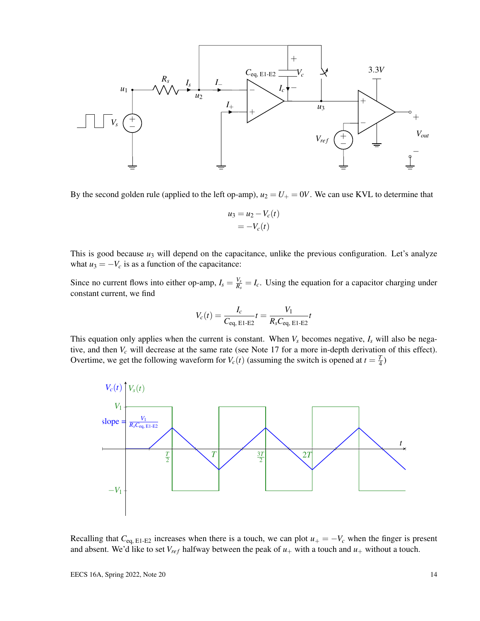

By the second golden rule (applied to the left op-amp),  $u_2 = U_+ = 0V$ . We can use KVL to determine that

$$
u_3 = u_2 - V_c(t)
$$
  
=  $-V_c(t)$ 

This is good because *u*<sub>3</sub> will depend on the capacitance, unlike the previous configuration. Let's analyze what  $u_3 = -V_c$  is as a function of the capacitance:

Since no current flows into either op-amp,  $I_s = \frac{V_s}{R_s}$  $\frac{V_s}{R_s} = I_c$ . Using the equation for a capacitor charging under constant current, we find

$$
V_c(t) = \frac{I_c}{C_{\text{eq, E1-E2}}} t = \frac{V_1}{R_s C_{\text{eq, E1-E2}}} t
$$

This equation only applies when the current is constant. When  $V_s$  becomes negative,  $I_s$  will also be negative, and then *V<sup>c</sup>* will decrease at the same rate (see Note 17 for a more in-depth derivation of this effect). Overtime, we get the following waveform for  $V_c(t)$  (assuming the switch is opened at  $t = \frac{T}{4}$  $(\frac{1}{4})$ 



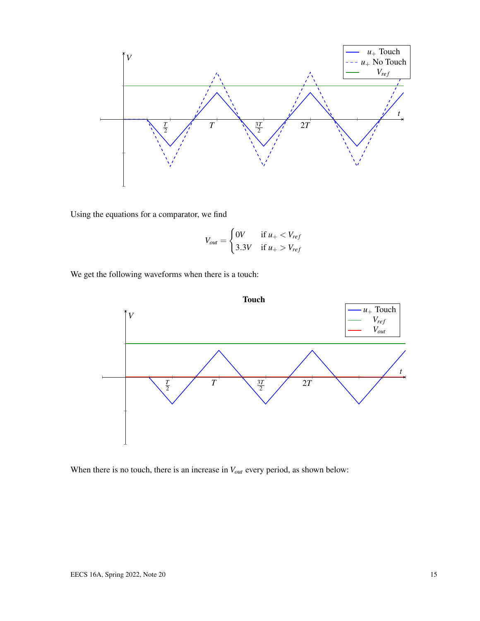

Using the equations for a comparator, we find

$$
V_{out} = \begin{cases} 0V & \text{if } u_{+} < V_{ref} \\ 3.3V & \text{if } u_{+} > V_{ref} \end{cases}
$$

We get the following waveforms when there is a touch:



When there is no touch, there is an increase in  $V_{out}$  every period, as shown below: